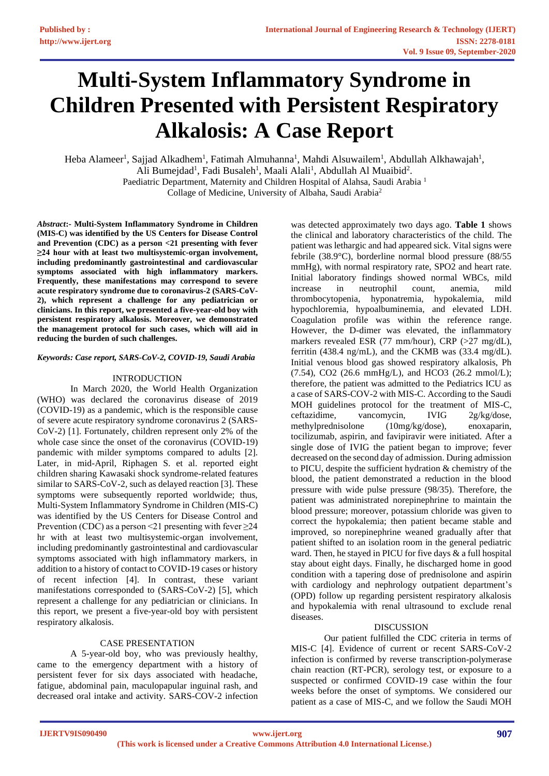# **Multi-System Inflammatory Syndrome in Children Presented with Persistent Respiratory Alkalosis: A Case Report**

Heba Alameer<sup>1</sup>, Sajjad Alkadhem<sup>1</sup>, Fatimah Almuhanna<sup>1</sup>, Mahdi Alsuwailem<sup>1</sup>, Abdullah Alkhawajah<sup>1</sup>, Ali Bumejdad<sup>1</sup>, Fadi Busaleh<sup>1</sup>, Maali Alali<sup>1</sup>, Abdullah Al Muaibid<sup>2</sup>. Paediatric Department, Maternity and Children Hospital of Alahsa, Saudi Arabia <sup>1</sup> Collage of Medicine, University of Albaha, Saudi Arabia<sup>2</sup>

*Abstract***:- Multi-System Inflammatory Syndrome in Children (MIS-C) was identified by the US Centers for Disease Control and Prevention (CDC) as a person <21 presenting with fever ≥24 hour with at least two multisystemic-organ involvement, including predominantly gastrointestinal and cardiovascular symptoms associated with high inflammatory markers. Frequently, these manifestations may correspond to severe acute respiratory syndrome due to coronavirus-2 (SARS-CoV-2), which represent a challenge for any pediatrician or clinicians. In this report, we presented a five-year-old boy with persistent respiratory alkalosis. Moreover, we demonstrated the management protocol for such cases, which will aid in reducing the burden of such challenges.** 

## *Keywords: Case report, SARS-CoV-2, COVID-19, Saudi Arabia*

## INTRODUCTION

In March 2020, the World Health Organization (WHO) was declared the coronavirus disease of 2019 (COVID-19) as a pandemic, which is the responsible cause of severe acute respiratory syndrome coronavirus 2 (SARS-CoV-2) [1]. Fortunately, children represent only 2% of the whole case since the onset of the coronavirus (COVID-19) pandemic with milder symptoms compared to adults [2]. Later, in mid-April, Riphagen S. et al. reported eight children sharing Kawasaki shock syndrome-related features similar to SARS-CoV-2, such as delayed reaction [3]. These symptoms were subsequently reported worldwide; thus, Multi-System Inflammatory Syndrome in Children (MIS-C) was identified by the US Centers for Disease Control and Prevention (CDC) as a person <21 presenting with fever  $\geq$ 24 hr with at least two multisystemic-organ involvement, including predominantly gastrointestinal and cardiovascular symptoms associated with high inflammatory markers, in addition to a history of contact to COVID-19 cases or history of recent infection [4]. In contrast, these variant manifestations corresponded to (SARS-CoV-2) [5], which represent a challenge for any pediatrician or clinicians. In this report, we present a five-year-old boy with persistent respiratory alkalosis.

## CASE PRESENTATION

A 5-year-old boy, who was previously healthy, came to the emergency department with a history of persistent fever for six days associated with headache, fatigue, abdominal pain, maculopapular inguinal rash, and decreased oral intake and activity. SARS-COV-2 infection was detected approximately two days ago. **Table 1** shows the clinical and laboratory characteristics of the child. The patient was lethargic and had appeared sick. Vital signs were febrile (38.9°C), borderline normal blood pressure (88/55 mmHg), with normal respiratory rate, SPO2 and heart rate. Initial laboratory findings showed normal WBCs, mild increase in neutrophil count, anemia, mild thrombocytopenia, hyponatremia, hypokalemia, mild hypochloremia, hypoalbuminemia, and elevated LDH. Coagulation profile was within the reference range. However, the D-dimer was elevated, the inflammatory markers revealed ESR (77 mm/hour), CRP (>27 mg/dL), ferritin (438.4 ng/mL), and the CKMB was (33.4 mg/dL). Initial venous blood gas showed respiratory alkalosis, Ph (7.54), CO2 (26.6 mmHg/L), and HCO3 (26.2 mmol/L); therefore, the patient was admitted to the Pediatrics ICU as a case of SARS-COV-2 with MIS-C. According to the Saudi MOH guidelines protocol for the treatment of MIS-C, ceftazidime, vancomycin, IVIG 2g/kg/dose, methylprednisolone (10mg/kg/dose), enoxaparin, tocilizumab, aspirin, and favipiravir were initiated. After a single dose of IVIG the patient began to improve; fever decreased on the second day of admission. During admission to PICU, despite the sufficient hydration & chemistry of the blood, the patient demonstrated a reduction in the blood pressure with wide pulse pressure (98/35). Therefore, the patient was administrated norepinephrine to maintain the blood pressure; moreover, potassium chloride was given to correct the hypokalemia; then patient became stable and improved, so norepinephrine weaned gradually after that patient shifted to an isolation room in the general pediatric ward. Then, he stayed in PICU for five days & a full hospital stay about eight days. Finally, he discharged home in good condition with a tapering dose of prednisolone and aspirin with cardiology and nephrology outpatient department's (OPD) follow up regarding persistent respiratory alkalosis and hypokalemia with renal ultrasound to exclude renal diseases.

## **DISCUSSION**

Our patient fulfilled the CDC criteria in terms of MIS-C [4]. Evidence of current or recent SARS-CoV-2 infection is confirmed by reverse transcription-polymerase chain reaction (RT-PCR), serology test, or exposure to a suspected or confirmed COVID-19 case within the four weeks before the onset of symptoms. We considered our patient as a case of MIS-C, and we follow the Saudi MOH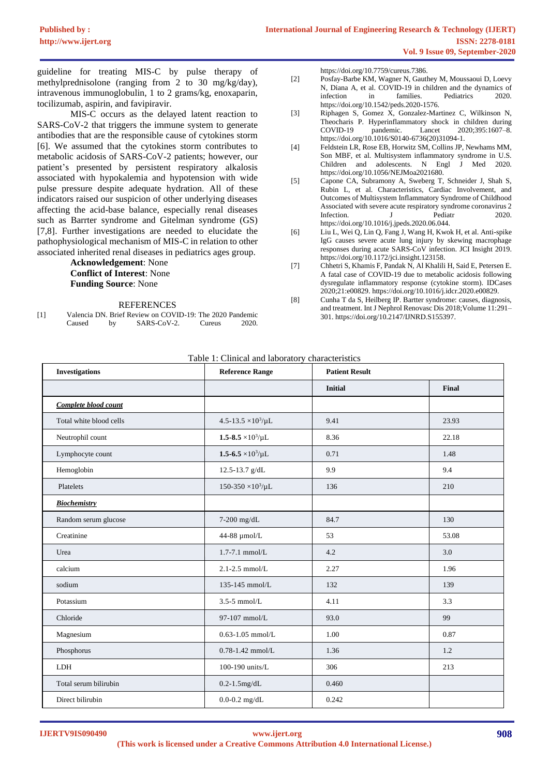guideline for treating MIS-C by pulse therapy of methylprednisolone (ranging from 2 to 30 mg/kg/day), intravenous immunoglobulin, 1 to 2 grams/kg, enoxaparin, tocilizumab, aspirin, and favipiravir.

MIS-C occurs as the delayed latent reaction to SARS-CoV-2 that triggers the immune system to generate antibodies that are the responsible cause of cytokines storm [6]. We assumed that the cytokines storm contributes to metabolic acidosis of SARS-CoV-2 patients; however, our patient's presented by persistent respiratory alkalosis associated with hypokalemia and hypotension with wide pulse pressure despite adequate hydration. All of these indicators raised our suspicion of other underlying diseases affecting the acid-base balance, especially renal diseases such as Barrter syndrome and Gitelman syndrome (GS) [7,8]. Further investigations are needed to elucidate the pathophysiological mechanism of MIS-C in relation to other associated inherited renal diseases in pediatrics ages group.

> **Acknowledgement**: None **Conflict of Interest**: None **Funding Source**: None

#### REFERENCES

[1] Valencia DN. Brief Review on COVID-19: The 2020 Pandemic Caused by SARS-CoV-2. Cureus 2020. https://doi.org/10.7759/cureus.7386.

- [2] Posfay-Barbe KM, Wagner N, Gauthey M, Moussaoui D, Loevy N, Diana A, et al. COVID-19 in children and the dynamics of infection in families. Pediatrics 2020. https://doi.org/10.1542/peds.2020-1576.
- [3] Riphagen S, Gomez X, Gonzalez-Martinez C, Wilkinson N, Theocharis P. Hyperinflammatory shock in children during<br>COVID-19 pandemic. Lancet 2020:395:1607-8. COVID-19 pandemic. Lancet 2020;395:1607–8. https://doi.org/10.1016/S0140-6736(20)31094-1.
- [4] Feldstein LR, Rose EB, Horwitz SM, Collins JP, Newhams MM, Son MBF, et al. Multisystem inflammatory syndrome in U.S. Children and adolescents. N Engl J Med 2020. https://doi.org/10.1056/NEJMoa2021680.
- [5] Capone CA, Subramony A, Sweberg T, Schneider J, Shah S, Rubin L, et al. Characteristics, Cardiac Involvement, and Outcomes of Multisystem Inflammatory Syndrome of Childhood Associated with severe acute respiratory syndrome coronavirus 2 Infection. J Pediatr 2020. https://doi.org/10.1016/j.jpeds.2020.06.044.
- [6] Liu L, Wei Q, Lin Q, Fang J, Wang H, Kwok H, et al. Anti-spike IgG causes severe acute lung injury by skewing macrophage responses during acute SARS-CoV infection. JCI Insight 2019. https://doi.org/10.1172/jci.insight.123158.
- [7] Chhetri S, Khamis F, Pandak N, Al Khalili H, Said E, Petersen E. A fatal case of COVID-19 due to metabolic acidosis following dysregulate inflammatory response (cytokine storm). IDCases 2020;21:e00829. https://doi.org/10.1016/j.idcr.2020.e00829.
- [8] Cunha T da S, Heilberg IP. Bartter syndrome: causes, diagnosis, and treatment. Int J Nephrol Renovasc Dis 2018;Volume 11:291– 301. https://doi.org/10.2147/IJNRD.S155397.

#### Table 1: Clinical and laboratory characteristics

| <b>Investigations</b>   | <b>Reference Range</b>         | <b>Patient Result</b> |       |
|-------------------------|--------------------------------|-----------------------|-------|
|                         |                                | <b>Initial</b>        | Final |
| Complete blood count    |                                |                       |       |
| Total white blood cells | $4.5 - 13.5 \times 10^3/\mu L$ | 9.41                  | 23.93 |
| Neutrophil count        | $1.5 - 8.5 \times 10^3/\mu L$  | 8.36                  | 22.18 |
| Lymphocyte count        | $1.5 - 6.5 \times 10^3/\mu L$  | 0.71                  | 1.48  |
| Hemoglobin              | 12.5-13.7 g/dL                 | 9.9                   | 9.4   |
| Platelets               | $150-350 \times 10^3/\mu L$    | 136                   | 210   |
| <b>Biochemistry</b>     |                                |                       |       |
| Random serum glucose    | 7-200 mg/dL                    | 84.7                  | 130   |
| Creatinine              | 44-88 µmol/L                   | 53                    | 53.08 |
| Urea                    | $1.7 - 7.1$ mmol/L             | 4.2                   | 3.0   |
| calcium                 | $2.1 - 2.5$ mmol/L             | 2.27                  | 1.96  |
| sodium                  | 135-145 mmol/L                 | 132                   | 139   |
| Potassium               | $3.5 - 5$ mmol/L               | 4.11                  | 3.3   |
| Chloride                | 97-107 mmol/L                  | 93.0                  | 99    |
| Magnesium               | $0.63 - 1.05$ mmol/L           | 1.00                  | 0.87  |
| Phosphorus              | $0.78 - 1.42$ mmol/L           | 1.36                  | 1.2   |
| <b>LDH</b>              | 100-190 units/L                | 306                   | 213   |
| Total serum bilirubin   | $0.2 - 1.5$ mg/dL              | 0.460                 |       |
| Direct bilirubin        | $0.0 - 0.2$ mg/dL              | 0.242                 |       |

**IJERTV9IS090490**